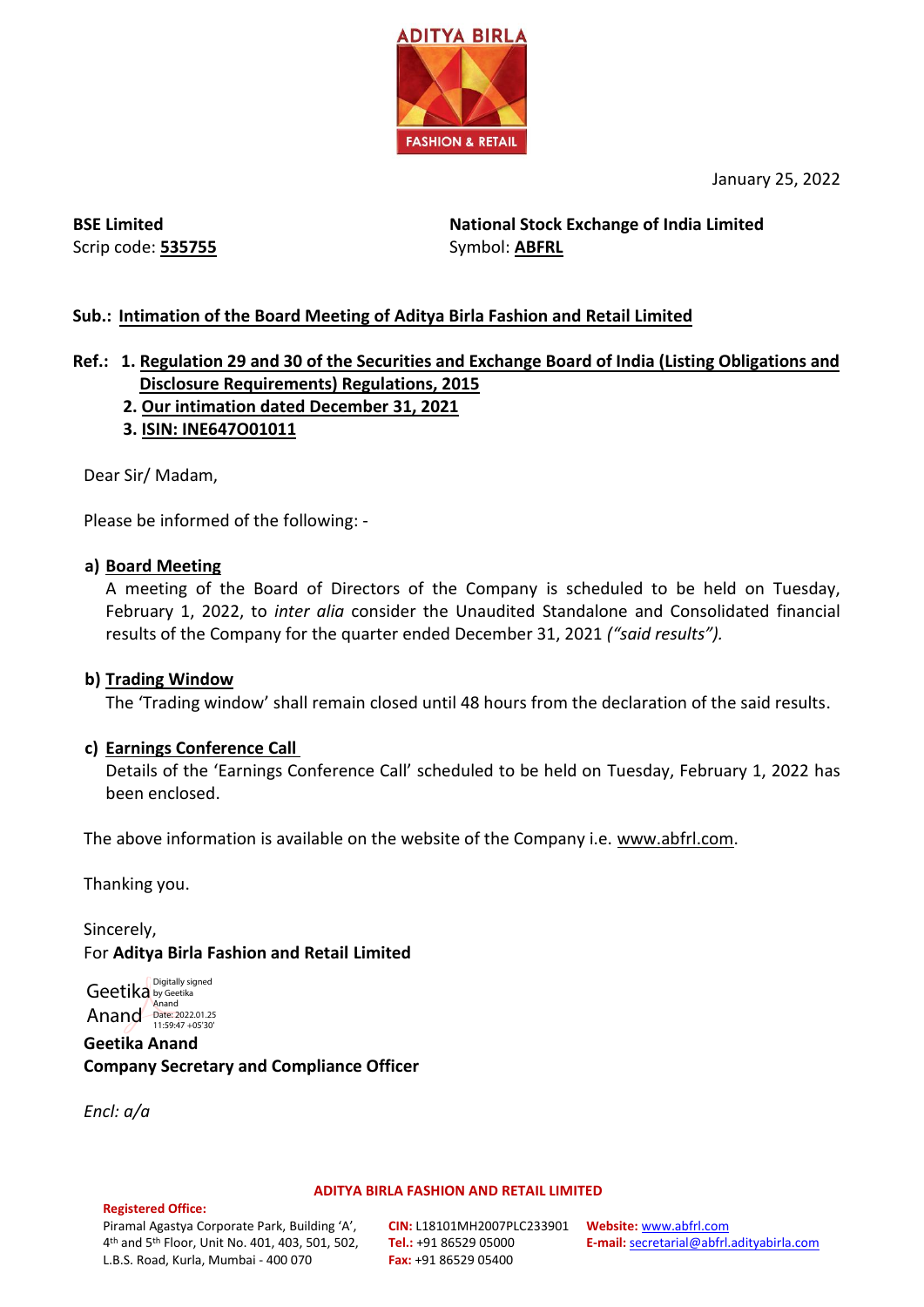

January 25, 2022

**BSE Limited** Scrip code: **535755**

**National Stock Exchange of India Limited**  Symbol: **ABFRL**

## **Sub.: Intimation of the Board Meeting of Aditya Birla Fashion and Retail Limited**

### **Ref.: 1. Regulation 29 and 30 of the Securities and Exchange Board of India (Listing Obligations and Disclosure Requirements) Regulations, 2015**

- **2. Our intimation dated December 31, 2021**
- **3. ISIN: INE647O01011**

Dear Sir/ Madam,

Please be informed of the following: -

### **a) Board Meeting**

A meeting of the Board of Directors of the Company is scheduled to be held on Tuesday, February 1, 2022, to *inter alia* consider the Unaudited Standalone and Consolidated financial results of the Company for the quarter ended December 31, 2021 *("said results").*

### **b) Trading Window**

The 'Trading window' shall remain closed until 48 hours from the declaration of the said results.

### **c) Earnings Conference Call**

Details of the 'Earnings Conference Call' scheduled to be held on Tuesday, February 1, 2022 has been enclosed.

The above information is available on the website of the Company i.e. www.abfrl.com.

Thanking you.

Sincerely, For **Aditya Birla Fashion and Retail Limited**

Geetika by Geetika Anand Date: 2022.01.25 Digitally signed Anand

**Geetika Anand Company Secretary and Compliance Officer**

*Encl: a/a*

**Registered Office:** 

#### **ADITYA BIRLA FASHION AND RETAIL LIMITED**